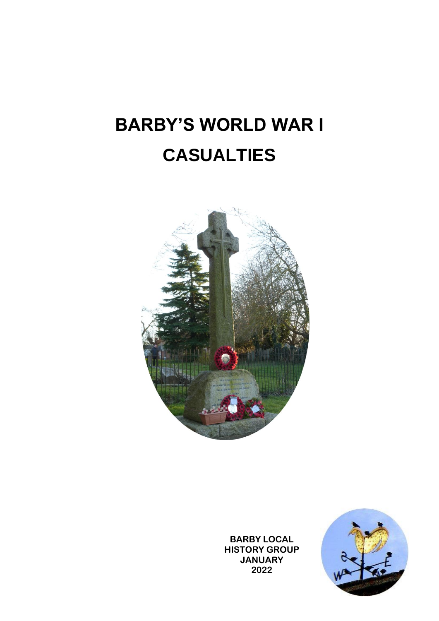# **BARBY'S WORLD WAR I CASUALTIES**



**BARBY LOCAL HISTORY GROUP JANUARY 2022**

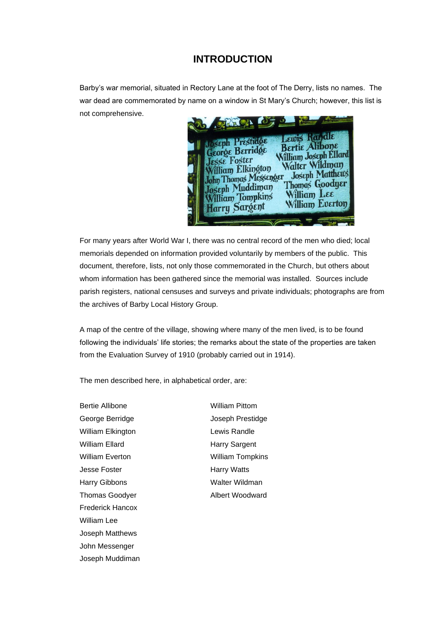## **INTRODUCTION**

Barby's war memorial, situated in Rectory Lane at the foot of The Derry, lists no names. The war dead are commemorated by name on a window in St Mary's Church; however, this list is not comprehensive.



For many years after World War I, there was no central record of the men who died; local memorials depended on information provided voluntarily by members of the public. This document, therefore, lists, not only those commemorated in the Church, but others about whom information has been gathered since the memorial was installed. Sources include parish registers, national censuses and surveys and private individuals; photographs are from the archives of Barby Local History Group.

A map of the centre of the village, showing where many of the men lived, is to be found following the individuals' life stories; the remarks about the state of the properties are taken from the Evaluation Survey of 1910 (probably carried out in 1914).

The men described here, in alphabetical order, are:

Bertie Allibone William Pittom George Berridge **George Berridge** Joseph Prestidge William Elkington **Lewis Randle** William Ellard **Harry Sargent** William Everton William Tompkins Jesse Foster **Harry Watts** Harry Gibbons Walter Wildman Thomas Goodyer **Albert Woodward** Frederick Hancox William Lee Joseph Matthews John Messenger Joseph Muddiman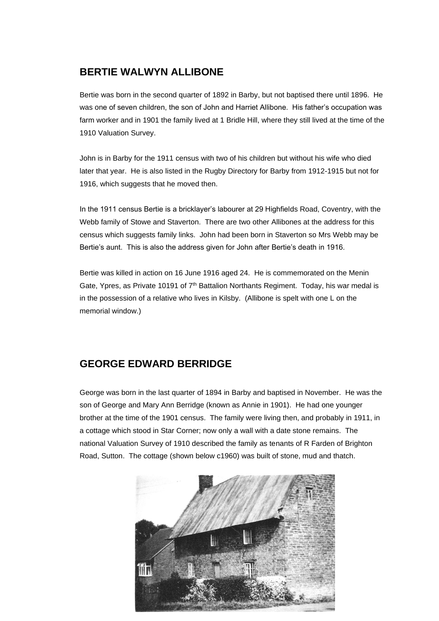# **BERTIE WALWYN ALLIBONE**

Bertie was born in the second quarter of 1892 in Barby, but not baptised there until 1896. He was one of seven children, the son of John and Harriet Allibone. His father's occupation was farm worker and in 1901 the family lived at 1 Bridle Hill, where they still lived at the time of the 1910 Valuation Survey.

John is in Barby for the 1911 census with two of his children but without his wife who died later that year. He is also listed in the Rugby Directory for Barby from 1912-1915 but not for 1916, which suggests that he moved then.

In the 1911 census Bertie is a bricklayer's labourer at 29 Highfields Road, Coventry, with the Webb family of Stowe and Staverton. There are two other Allibones at the address for this census which suggests family links. John had been born in Staverton so Mrs Webb may be Bertie's aunt. This is also the address given for John after Bertie's death in 1916.

Bertie was killed in action on 16 June 1916 aged 24. He is commemorated on the Menin Gate, Ypres, as Private 10191 of  $7<sup>th</sup>$  Battalion Northants Regiment. Today, his war medal is in the possession of a relative who lives in Kilsby. (Allibone is spelt with one L on the memorial window.)

# **GEORGE EDWARD BERRIDGE**

George was born in the last quarter of 1894 in Barby and baptised in November. He was the son of George and Mary Ann Berridge (known as Annie in 1901). He had one younger brother at the time of the 1901 census. The family were living then, and probably in 1911, in a cottage which stood in Star Corner; now only a wall with a date stone remains. The national Valuation Survey of 1910 described the family as tenants of R Farden of Brighton Road, Sutton. The cottage (shown below c1960) was built of stone, mud and thatch.

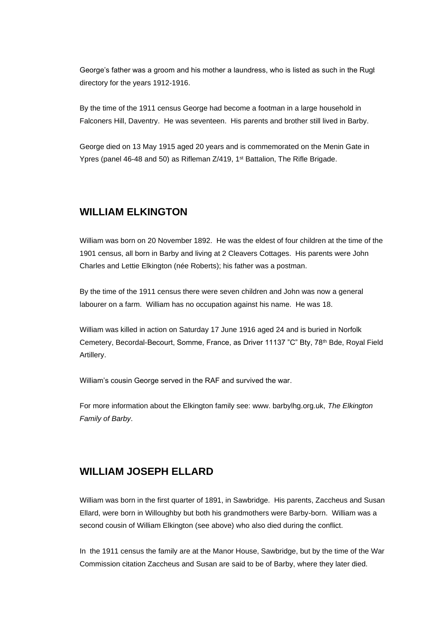George's father was a groom and his mother a laundress, who is listed as such in the Rugl directory for the years 1912-1916.

By the time of the 1911 census George had become a footman in a large household in Falconers Hill, Daventry. He was seventeen. His parents and brother still lived in Barby.

George died on 13 May 1915 aged 20 years and is commemorated on the Menin Gate in Ypres (panel 46-48 and 50) as Rifleman  $Z/419$ , 1<sup>st</sup> Battalion, The Rifle Brigade.

#### **WILLIAM ELKINGTON**

William was born on 20 November 1892. He was the eldest of four children at the time of the 1901 census, all born in Barby and living at 2 Cleavers Cottages. His parents were John Charles and Lettie Elkington (née Roberts); his father was a postman.

By the time of the 1911 census there were seven children and John was now a general labourer on a farm. William has no occupation against his name. He was 18.

William was killed in action on Saturday 17 June 1916 aged 24 and is buried in Norfolk Cemetery, Becordal-Becourt, Somme, France, as Driver 11137 "C" Bty, 78th Bde, Royal Field Artillery.

William's cousin George served in the RAF and survived the war.

For more information about the Elkington family see: www. barbylhg.org.uk, *The Elkington Family of Barby*.

#### **WILLIAM JOSEPH ELLARD**

William was born in the first quarter of 1891, in Sawbridge. His parents, Zaccheus and Susan Ellard, were born in Willoughby but both his grandmothers were Barby-born. William was a second cousin of William Elkington (see above) who also died during the conflict.

In the 1911 census the family are at the Manor House, Sawbridge, but by the time of the War Commission citation Zaccheus and Susan are said to be of Barby, where they later died.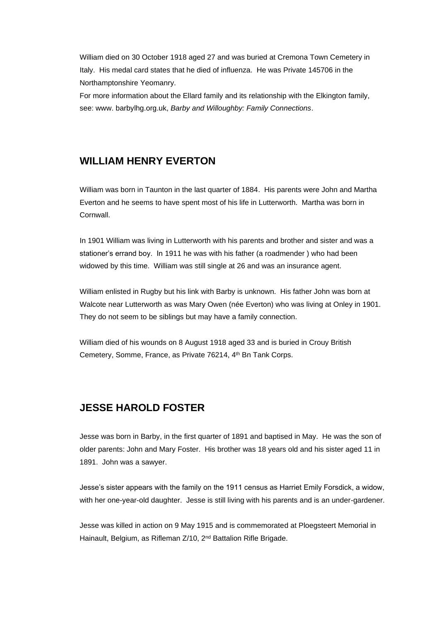William died on 30 October 1918 aged 27 and was buried at Cremona Town Cemetery in Italy. His medal card states that he died of influenza. He was Private 145706 in the Northamptonshire Yeomanry.

For more information about the Ellard family and its relationship with the Elkington family, see: www. barbylhg.org.uk, *Barby and Willoughby: Family Connections*.

## **WILLIAM HENRY EVERTON**

William was born in Taunton in the last quarter of 1884. His parents were John and Martha Everton and he seems to have spent most of his life in Lutterworth. Martha was born in Cornwall.

In 1901 William was living in Lutterworth with his parents and brother and sister and was a stationer's errand boy. In 1911 he was with his father (a roadmender ) who had been widowed by this time. William was still single at 26 and was an insurance agent.

William enlisted in Rugby but his link with Barby is unknown. His father John was born at Walcote near Lutterworth as was Mary Owen (née Everton) who was living at Onley in 1901. They do not seem to be siblings but may have a family connection.

William died of his wounds on 8 August 1918 aged 33 and is buried in Crouy British Cemetery, Somme, France, as Private 76214, 4<sup>th</sup> Bn Tank Corps.

## **JESSE HAROLD FOSTER**

Jesse was born in Barby, in the first quarter of 1891 and baptised in May. He was the son of older parents: John and Mary Foster. His brother was 18 years old and his sister aged 11 in 1891. John was a sawyer.

Jesse's sister appears with the family on the 1911 census as Harriet Emily Forsdick, a widow, with her one-year-old daughter. Jesse is still living with his parents and is an under-gardener.

Jesse was killed in action on 9 May 1915 and is commemorated at Ploegsteert Memorial in Hainault, Belgium, as Rifleman Z/10, 2<sup>nd</sup> Battalion Rifle Brigade.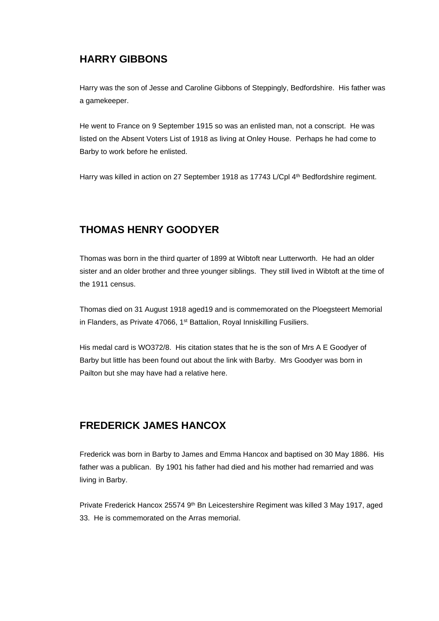# **HARRY GIBBONS**

Harry was the son of Jesse and Caroline Gibbons of Steppingly, Bedfordshire. His father was a gamekeeper.

He went to France on 9 September 1915 so was an enlisted man, not a conscript. He was listed on the Absent Voters List of 1918 as living at Onley House. Perhaps he had come to Barby to work before he enlisted.

Harry was killed in action on 27 September 1918 as 17743 L/Cpl 4<sup>th</sup> Bedfordshire regiment.

# **THOMAS HENRY GOODYER**

Thomas was born in the third quarter of 1899 at Wibtoft near Lutterworth. He had an older sister and an older brother and three younger siblings. They still lived in Wibtoft at the time of the 1911 census.

Thomas died on 31 August 1918 aged19 and is commemorated on the Ploegsteert Memorial in Flanders, as Private 47066, 1<sup>st</sup> Battalion, Royal Inniskilling Fusiliers.

His medal card is WO372/8. His citation states that he is the son of Mrs A E Goodyer of Barby but little has been found out about the link with Barby. Mrs Goodyer was born in Pailton but she may have had a relative here.

# **FREDERICK JAMES HANCOX**

Frederick was born in Barby to James and Emma Hancox and baptised on 30 May 1886. His father was a publican. By 1901 his father had died and his mother had remarried and was living in Barby.

Private Frederick Hancox 25574 9th Bn Leicestershire Regiment was killed 3 May 1917, aged 33. He is commemorated on the Arras memorial.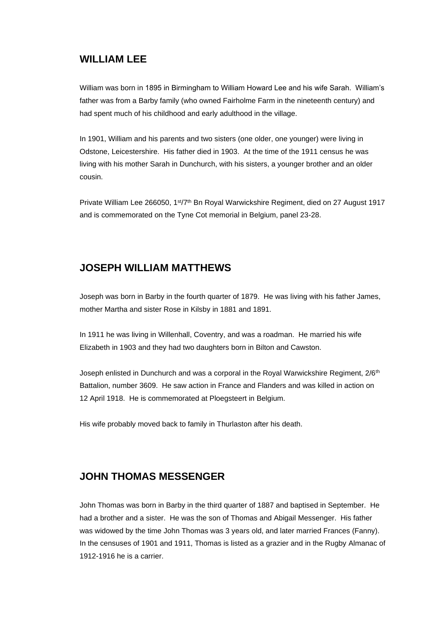#### **WILLIAM LEE**

William was born in 1895 in Birmingham to William Howard Lee and his wife Sarah. William's father was from a Barby family (who owned Fairholme Farm in the nineteenth century) and had spent much of his childhood and early adulthood in the village.

In 1901, William and his parents and two sisters (one older, one younger) were living in Odstone, Leicestershire. His father died in 1903. At the time of the 1911 census he was living with his mother Sarah in Dunchurch, with his sisters, a younger brother and an older cousin.

Private William Lee 266050, 1st/7th Bn Royal Warwickshire Regiment, died on 27 August 1917 and is commemorated on the Tyne Cot memorial in Belgium, panel 23-28.

## **JOSEPH WILLIAM MATTHEWS**

Joseph was born in Barby in the fourth quarter of 1879. He was living with his father James, mother Martha and sister Rose in Kilsby in 1881 and 1891.

In 1911 he was living in Willenhall, Coventry, and was a roadman. He married his wife Elizabeth in 1903 and they had two daughters born in Bilton and Cawston.

Joseph enlisted in Dunchurch and was a corporal in the Royal Warwickshire Regiment, 2/6<sup>th</sup> Battalion, number 3609. He saw action in France and Flanders and was killed in action on 12 April 1918. He is commemorated at Ploegsteert in Belgium.

His wife probably moved back to family in Thurlaston after his death.

## **JOHN THOMAS MESSENGER**

John Thomas was born in Barby in the third quarter of 1887 and baptised in September. He had a brother and a sister. He was the son of Thomas and Abigail Messenger. His father was widowed by the time John Thomas was 3 years old, and later married Frances (Fanny). In the censuses of 1901 and 1911, Thomas is listed as a grazier and in the Rugby Almanac of 1912-1916 he is a carrier.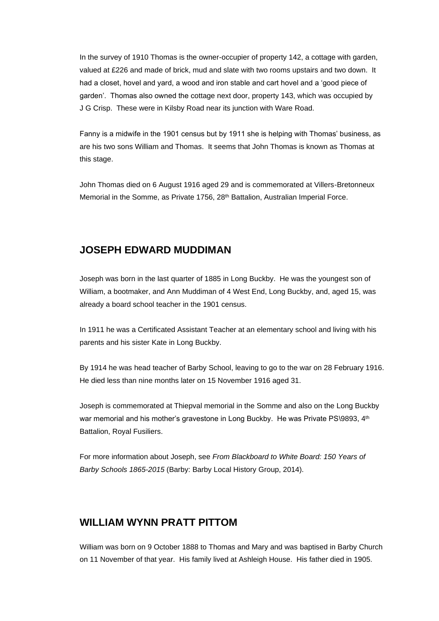In the survey of 1910 Thomas is the owner-occupier of property 142, a cottage with garden, valued at £226 and made of brick, mud and slate with two rooms upstairs and two down. It had a closet, hovel and yard, a wood and iron stable and cart hovel and a 'good piece of garden'. Thomas also owned the cottage next door, property 143, which was occupied by J G Crisp. These were in Kilsby Road near its junction with Ware Road.

Fanny is a midwife in the 1901 census but by 1911 she is helping with Thomas' business, as are his two sons William and Thomas. It seems that John Thomas is known as Thomas at this stage.

John Thomas died on 6 August 1916 aged 29 and is commemorated at Villers-Bretonneux Memorial in the Somme, as Private 1756, 28<sup>th</sup> Battalion, Australian Imperial Force.

#### **JOSEPH EDWARD MUDDIMAN**

Joseph was born in the last quarter of 1885 in Long Buckby. He was the youngest son of William, a bootmaker, and Ann Muddiman of 4 West End, Long Buckby, and, aged 15, was already a board school teacher in the 1901 census.

In 1911 he was a Certificated Assistant Teacher at an elementary school and living with his parents and his sister Kate in Long Buckby.

By 1914 he was head teacher of Barby School, leaving to go to the war on 28 February 1916. He died less than nine months later on 15 November 1916 aged 31.

Joseph is commemorated at Thiepval memorial in the Somme and also on the Long Buckby war memorial and his mother's gravestone in Long Buckby. He was Private PS\9893, 4th Battalion, Royal Fusiliers.

For more information about Joseph, see *From Blackboard to White Board: 150 Years of Barby Schools 1865-2015* (Barby: Barby Local History Group, 2014).

## **WILLIAM WYNN PRATT PITTOM**

William was born on 9 October 1888 to Thomas and Mary and was baptised in Barby Church on 11 November of that year. His family lived at Ashleigh House. His father died in 1905.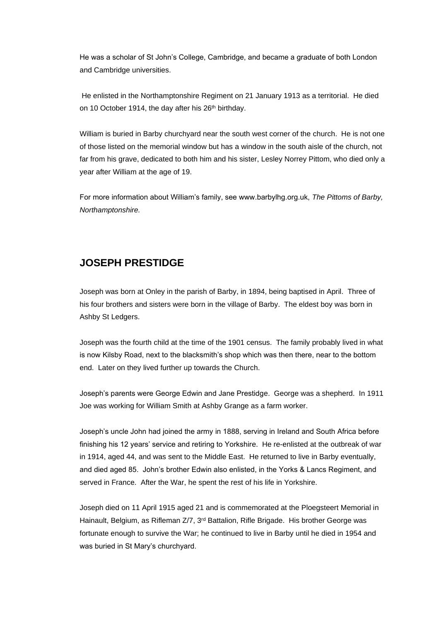He was a scholar of St John's College, Cambridge, and became a graduate of both London and Cambridge universities.

He enlisted in the Northamptonshire Regiment on 21 January 1913 as a territorial. He died on 10 October 1914, the day after his 26<sup>th</sup> birthday.

William is buried in Barby churchyard near the south west corner of the church. He is not one of those listed on the memorial window but has a window in the south aisle of the church, not far from his grave, dedicated to both him and his sister, Lesley Norrey Pittom, who died only a year after William at the age of 19.

For more information about William's family, see www.barbylhg.org.uk, *The Pittoms of Barby, Northamptonshire.*

## **JOSEPH PRESTIDGE**

Joseph was born at Onley in the parish of Barby, in 1894, being baptised in April. Three of his four brothers and sisters were born in the village of Barby. The eldest boy was born in Ashby St Ledgers.

Joseph was the fourth child at the time of the 1901 census. The family probably lived in what is now Kilsby Road, next to the blacksmith's shop which was then there, near to the bottom end. Later on they lived further up towards the Church.

Joseph's parents were George Edwin and Jane Prestidge. George was a shepherd. In 1911 Joe was working for William Smith at Ashby Grange as a farm worker.

Joseph's uncle John had joined the army in 1888, serving in Ireland and South Africa before finishing his 12 years' service and retiring to Yorkshire. He re-enlisted at the outbreak of war in 1914, aged 44, and was sent to the Middle East. He returned to live in Barby eventually, and died aged 85. John's brother Edwin also enlisted, in the Yorks & Lancs Regiment, and served in France. After the War, he spent the rest of his life in Yorkshire.

Joseph died on 11 April 1915 aged 21 and is commemorated at the Ploegsteert Memorial in Hainault, Belgium, as Rifleman Z/7, 3rd Battalion, Rifle Brigade. His brother George was fortunate enough to survive the War; he continued to live in Barby until he died in 1954 and was buried in St Mary's churchyard.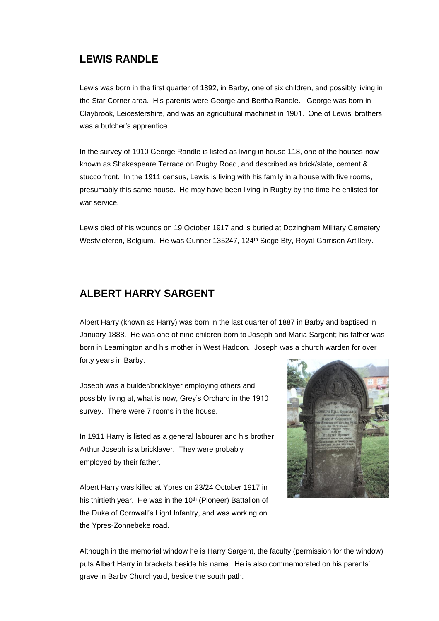#### **LEWIS RANDLE**

Lewis was born in the first quarter of 1892, in Barby, one of six children, and possibly living in the Star Corner area. His parents were George and Bertha Randle. George was born in Claybrook, Leicestershire, and was an agricultural machinist in 1901. One of Lewis' brothers was a butcher's apprentice.

In the survey of 1910 George Randle is listed as living in house 118, one of the houses now known as Shakespeare Terrace on Rugby Road, and described as brick/slate, cement & stucco front. In the 1911 census, Lewis is living with his family in a house with five rooms, presumably this same house. He may have been living in Rugby by the time he enlisted for war service.

Lewis died of his wounds on 19 October 1917 and is buried at Dozinghem Military Cemetery, Westvleteren, Belgium. He was Gunner 135247, 124<sup>th</sup> Siege Bty, Royal Garrison Artillery.

#### **ALBERT HARRY SARGENT**

Albert Harry (known as Harry) was born in the last quarter of 1887 in Barby and baptised in January 1888. He was one of nine children born to Joseph and Maria Sargent; his father was born in Leamington and his mother in West Haddon. Joseph was a church warden for over forty years in Barby.

Joseph was a builder/bricklayer employing others and possibly living at, what is now, Grey's Orchard in the 1910 survey. There were 7 rooms in the house.

In 1911 Harry is listed as a general labourer and his brother Arthur Joseph is a bricklayer. They were probably employed by their father.

Albert Harry was killed at Ypres on 23/24 October 1917 in his thirtieth year. He was in the 10<sup>th</sup> (Pioneer) Battalion of the Duke of Cornwall's Light Infantry, and was working on the Ypres-Zonnebeke road.



Although in the memorial window he is Harry Sargent, the faculty (permission for the window) puts Albert Harry in brackets beside his name. He is also commemorated on his parents' grave in Barby Churchyard, beside the south path.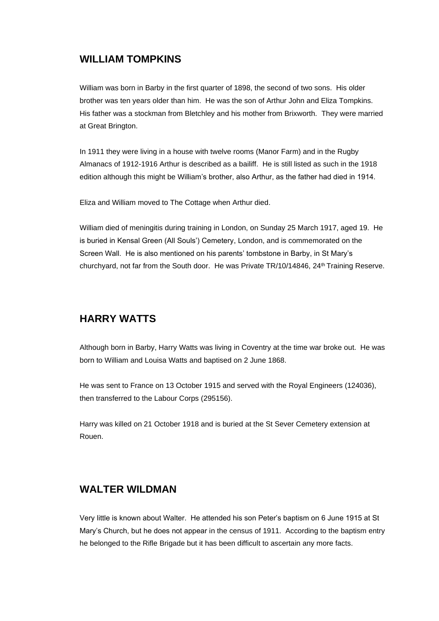## **WILLIAM TOMPKINS**

William was born in Barby in the first quarter of 1898, the second of two sons. His older brother was ten years older than him. He was the son of Arthur John and Eliza Tompkins. His father was a stockman from Bletchley and his mother from Brixworth. They were married at Great Brington.

In 1911 they were living in a house with twelve rooms (Manor Farm) and in the Rugby Almanacs of 1912-1916 Arthur is described as a bailiff. He is still listed as such in the 1918 edition although this might be William's brother, also Arthur, as the father had died in 1914.

Eliza and William moved to The Cottage when Arthur died.

William died of meningitis during training in London, on Sunday 25 March 1917, aged 19. He is buried in Kensal Green (All Souls') Cemetery, London, and is commemorated on the Screen Wall. He is also mentioned on his parents' tombstone in Barby, in St Mary's churchyard, not far from the South door. He was Private TR/10/14846, 24th Training Reserve.

## **HARRY WATTS**

Although born in Barby, Harry Watts was living in Coventry at the time war broke out. He was born to William and Louisa Watts and baptised on 2 June 1868.

He was sent to France on 13 October 1915 and served with the Royal Engineers (124036), then transferred to the Labour Corps (295156).

Harry was killed on 21 October 1918 and is buried at the St Sever Cemetery extension at Rouen.

# **WALTER WILDMAN**

Very little is known about Walter. He attended his son Peter's baptism on 6 June 1915 at St Mary's Church, but he does not appear in the census of 1911. According to the baptism entry he belonged to the Rifle Brigade but it has been difficult to ascertain any more facts.